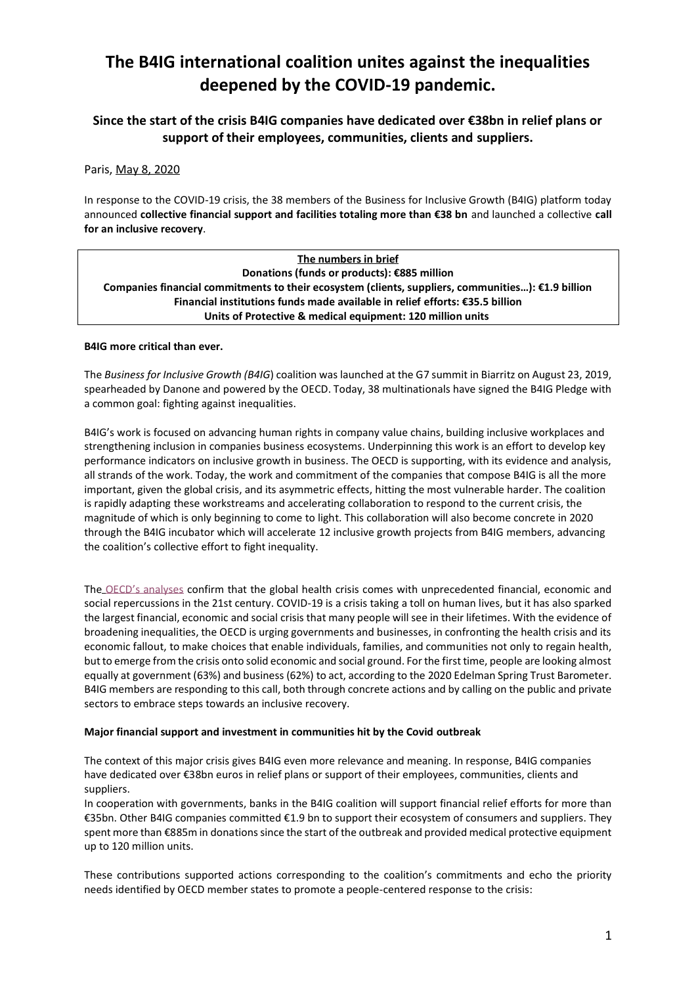# **The B4IG international coalition unites against the inequalities deepened by the COVID-19 pandemic.**

**Since the start of the crisis B4IG companies have dedicated over €38bn in relief plans or support of their employees, communities, clients and suppliers.**

Paris, May 8, 2020

In response to the COVID-19 crisis, the 38 members of the Business for Inclusive Growth (B4IG) platform today announced **collective financial support and facilities totaling more than €38 bn** and launched a collective **call for an inclusive recovery**.

| The numbers in brief                                                                                         |
|--------------------------------------------------------------------------------------------------------------|
| Donations (funds or products): €885 million                                                                  |
| Companies financial commitments to their ecosystem (clients, suppliers, communities): $\epsilon$ 1.9 billion |
| Financial institutions funds made available in relief efforts: €35.5 billion                                 |
| Units of Protective & medical equipment: 120 million units                                                   |

# **B4IG more critical than ever.**

The *Business for Inclusive Growth (B4IG*) coalition was launched at the G7 summit in Biarritz on August 23, 2019, spearheaded by Danone and powered by the OECD. Today, 38 multinationals have signed the B4IG Pledge with a common goal: fighting against inequalities.

B4IG's work is focused on advancing human rights in company value chains, building inclusive workplaces and strengthening inclusion in companies business ecosystems. Underpinning this work is an effort to develop key performance indicators on inclusive growth in business. The OECD is supporting, with its evidence and analysis, all strands of the work. Today, the work and commitment of the companies that compose B4IG is all the more important, given the global crisis, and its asymmetric effects, hitting the most vulnerable harder. The coalition is rapidly adapting these workstreams and accelerating collaboration to respond to the current crisis, the magnitude of which is only beginning to come to light. This collaboration will also become concrete in 2020 through the B4IG incubator which will accelerate 12 inclusive growth projects from B4IG members, advancing the coalition's collective effort to fight inequality.

The [OECD's analyses](https://www.oecd.org/coronavirus/en/) confirm that the global health crisis comes with unprecedented financial, economic and social repercussions in the 21st century. COVID-19 is a crisis taking a toll on human lives, but it has also sparked the largest financial, economic and social crisis that many people will see in their lifetimes. With the evidence of broadening inequalities, the OECD is urging governments and businesses, in confronting the health crisis and its economic fallout, to make choices that enable individuals, families, and communities not only to regain health, but to emerge from the crisis onto solid economic and social ground. For the first time, people are looking almost equally at government (63%) and business (62%) to act, according to the 2020 Edelman Spring Trust Barometer. B4IG members are responding to this call, both through concrete actions and by calling on the public and private sectors to embrace steps towards an inclusive recovery.

# **Major financial support and investment in communities hit by the Covid outbreak**

The context of this major crisis gives B4IG even more relevance and meaning. In response, B4IG companies have dedicated over €38bn euros in relief plans or support of their employees, communities, clients and suppliers.

In cooperation with governments, banks in the B4IG coalition will support financial relief efforts for more than €35bn. Other B4IG companies committed €1.9 bn to support their ecosystem of consumers and suppliers. They spent more than €885m in donations since the start of the outbreak and provided medical protective equipment up to 120 million units.

These contributions supported actions corresponding to the coalition's commitments and echo the priority needs identified by OECD member states to promote a people-centered response to the crisis: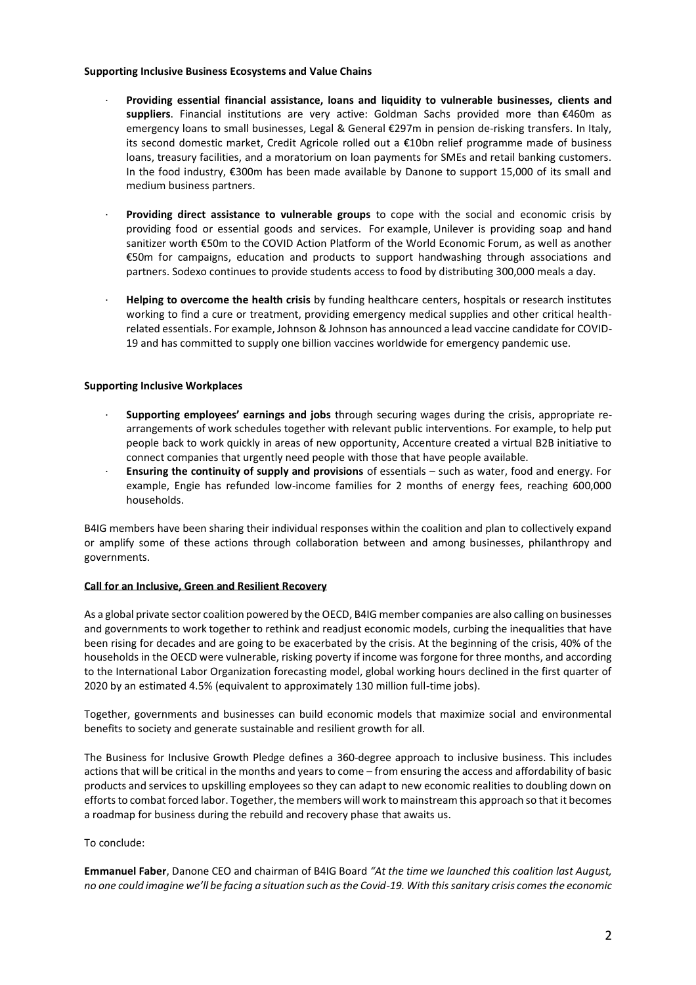## **Supporting Inclusive Business Ecosystems and Value Chains**

- · **Providing essential financial assistance, loans and liquidity to vulnerable businesses, clients and suppliers**. Financial institutions are very active: Goldman Sachs provided more than €460m as emergency loans to small businesses, Legal & General €297m in pension de-risking transfers. In Italy, its second domestic market, Credit Agricole rolled out a €10bn relief programme made of business loans, treasury facilities, and a moratorium on loan payments for SMEs and retail banking customers. In the food industry, €300m has been made available by Danone to support 15,000 of its small and medium business partners.
- · **Providing direct assistance to vulnerable groups** to cope with the social and economic crisis by providing food or essential goods and services. For example, Unilever is providing soap and hand sanitizer worth €50m to the COVID Action Platform of the World Economic Forum, as well as another €50m for campaigns, education and products to support handwashing through associations and partners. Sodexo continues to provide students access to food by distributing 300,000 meals a day.
- · **Helping to overcome the health crisis** by funding healthcare centers, hospitals or research institutes working to find a cure or treatment, providing emergency medical supplies and other critical healthrelated essentials. For example, Johnson & Johnson has announced a lead vaccine candidate for COVID-19 and has committed to supply one billion vaccines worldwide for emergency pandemic use.

# **Supporting Inclusive Workplaces**

- · **Supporting employees' earnings and jobs** through securing wages during the crisis, appropriate rearrangements of work schedules together with relevant public interventions. For example, to help put people back to work quickly in areas of new opportunity, Accenture created a virtual B2B initiative to connect companies that urgently need people with those that have people available.
- · **Ensuring the continuity of supply and provisions** of essentials such as water, food and energy. For example, Engie has refunded low-income families for 2 months of energy fees, reaching 600,000 households.

B4IG members have been sharing their individual responses within the coalition and plan to collectively expand or amplify some of these actions through collaboration between and among businesses, philanthropy and governments.

## **Call for an Inclusive, Green and Resilient Recovery**

As a global private sector coalition powered by the OECD, B4IG member companies are also calling on businesses and governments to work together to rethink and readjust economic models, curbing the inequalities that have been rising for decades and are going to be exacerbated by the crisis. At the beginning of the crisis, 40% of the households in the OECD were vulnerable, risking poverty if income was forgone for three months, and according to the International Labor Organization forecasting model, global working hours declined in the first quarter of 2020 by an estimated 4.5% (equivalent to approximately 130 million full-time jobs).

Together, governments and businesses can build economic models that maximize social and environmental benefits to society and generate sustainable and resilient growth for all.

The Business for Inclusive Growth Pledge defines a 360-degree approach to inclusive business. This includes actions that will be critical in the months and years to come – from ensuring the access and affordability of basic products and services to upskilling employees so they can adapt to new economic realities to doubling down on efforts to combat forced labor. Together, the members will work to mainstream this approach so that it becomes a roadmap for business during the rebuild and recovery phase that awaits us.

# To conclude:

**Emmanuel Faber**, Danone CEO and chairman of B4IG Board *"At the time we launched this coalition last August, no one could imagine we'll be facing a situation such as the Covid-19. With this sanitary crisis comes the economic*